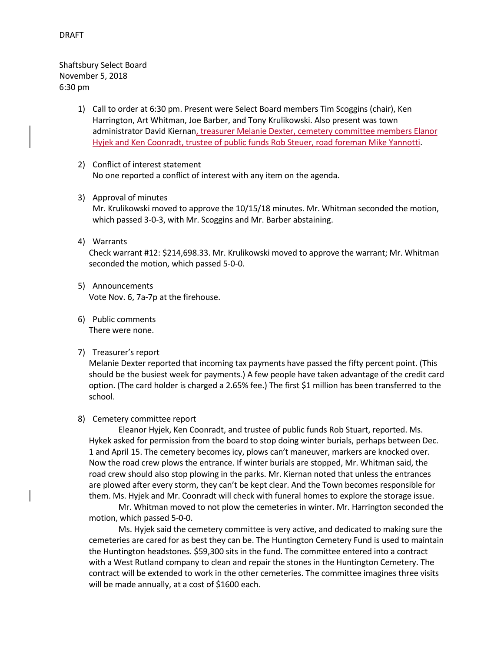# DRAFT

Shaftsbury Select Board November 5, 2018 6:30 pm

- 1) Call to order at 6:30 pm. Present were Select Board members Tim Scoggins (chair), Ken Harrington, Art Whitman, Joe Barber, and Tony Krulikowski. Also present was town administrator David Kiernan, treasurer Melanie Dexter, cemetery committee members Elanor Hyjek and Ken Coonradt, trustee of public funds Rob Steuer, road foreman Mike Yannotti.
- 2) Conflict of interest statement No one reported a conflict of interest with any item on the agenda.
- 3) Approval of minutes

Mr. Krulikowski moved to approve the 10/15/18 minutes. Mr. Whitman seconded the motion, which passed 3-0-3, with Mr. Scoggins and Mr. Barber abstaining.

4) Warrants

Check warrant #12: \$214,698.33. Mr. Krulikowski moved to approve the warrant; Mr. Whitman seconded the motion, which passed 5-0-0.

- 5) Announcements Vote Nov. 6, 7a-7p at the firehouse.
- 6) Public comments There were none.
- 7) Treasurer's report

Melanie Dexter reported that incoming tax payments have passed the fifty percent point. (This should be the busiest week for payments.) A few people have taken advantage of the credit card option. (The card holder is charged a 2.65% fee.) The first \$1 million has been transferred to the school.

# 8) Cemetery committee report

Eleanor Hyjek, Ken Coonradt, and trustee of public funds Rob Stuart, reported. Ms. Hykek asked for permission from the board to stop doing winter burials, perhaps between Dec. 1 and April 15. The cemetery becomes icy, plows can't maneuver, markers are knocked over. Now the road crew plows the entrance. If winter burials are stopped, Mr. Whitman said, the road crew should also stop plowing in the parks. Mr. Kiernan noted that unless the entrances are plowed after every storm, they can't be kept clear. And the Town becomes responsible for them. Ms. Hyjek and Mr. Coonradt will check with funeral homes to explore the storage issue.

Mr. Whitman moved to not plow the cemeteries in winter. Mr. Harrington seconded the motion, which passed 5-0-0.

Ms. Hyjek said the cemetery committee is very active, and dedicated to making sure the cemeteries are cared for as best they can be. The Huntington Cemetery Fund is used to maintain the Huntington headstones. \$59,300 sits in the fund. The committee entered into a contract with a West Rutland company to clean and repair the stones in the Huntington Cemetery. The contract will be extended to work in the other cemeteries. The committee imagines three visits will be made annually, at a cost of \$1600 each.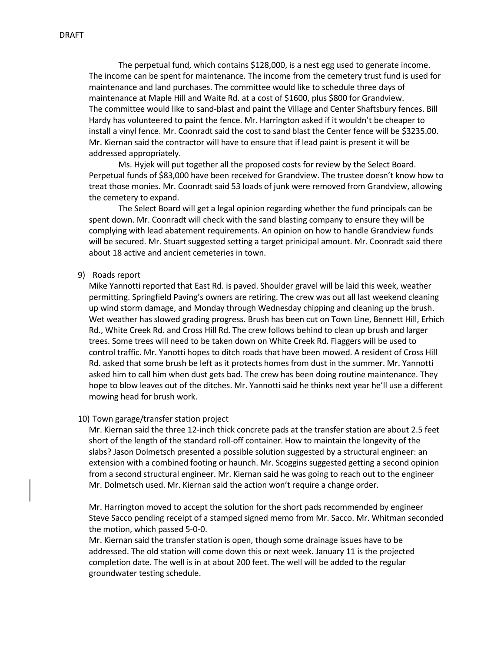The perpetual fund, which contains \$128,000, is a nest egg used to generate income. The income can be spent for maintenance. The income from the cemetery trust fund is used for maintenance and land purchases. The committee would like to schedule three days of maintenance at Maple Hill and Waite Rd. at a cost of \$1600, plus \$800 for Grandview. The committee would like to sand-blast and paint the Village and Center Shaftsbury fences. Bill Hardy has volunteered to paint the fence. Mr. Harrington asked if it wouldn't be cheaper to install a vinyl fence. Mr. Coonradt said the cost to sand blast the Center fence will be \$3235.00. Mr. Kiernan said the contractor will have to ensure that if lead paint is present it will be addressed appropriately.

Ms. Hyjek will put together all the proposed costs for review by the Select Board. Perpetual funds of \$83,000 have been received for Grandview. The trustee doesn't know how to treat those monies. Mr. Coonradt said 53 loads of junk were removed from Grandview, allowing the cemetery to expand.

The Select Board will get a legal opinion regarding whether the fund principals can be spent down. Mr. Coonradt will check with the sand blasting company to ensure they will be complying with lead abatement requirements. An opinion on how to handle Grandview funds will be secured. Mr. Stuart suggested setting a target prinicipal amount. Mr. Coonradt said there about 18 active and ancient cemeteries in town.

### 9) Roads report

Mike Yannotti reported that East Rd. is paved. Shoulder gravel will be laid this week, weather permitting. Springfield Paving's owners are retiring. The crew was out all last weekend cleaning up wind storm damage, and Monday through Wednesday chipping and cleaning up the brush. Wet weather has slowed grading progress. Brush has been cut on Town Line, Bennett Hill, Erhich Rd., White Creek Rd. and Cross Hill Rd. The crew follows behind to clean up brush and larger trees. Some trees will need to be taken down on White Creek Rd. Flaggers will be used to control traffic. Mr. Yanotti hopes to ditch roads that have been mowed. A resident of Cross Hill Rd. asked that some brush be left as it protects homes from dust in the summer. Mr. Yannotti asked him to call him when dust gets bad. The crew has been doing routine maintenance. They hope to blow leaves out of the ditches. Mr. Yannotti said he thinks next year he'll use a different mowing head for brush work.

#### 10) Town garage/transfer station project

Mr. Kiernan said the three 12-inch thick concrete pads at the transfer station are about 2.5 feet short of the length of the standard roll-off container. How to maintain the longevity of the slabs? Jason Dolmetsch presented a possible solution suggested by a structural engineer: an extension with a combined footing or haunch. Mr. Scoggins suggested getting a second opinion from a second structural engineer. Mr. Kiernan said he was going to reach out to the engineer Mr. Dolmetsch used. Mr. Kiernan said the action won't require a change order.

Mr. Harrington moved to accept the solution for the short pads recommended by engineer Steve Sacco pending receipt of a stamped signed memo from Mr. Sacco. Mr. Whitman seconded the motion, which passed 5-0-0.

Mr. Kiernan said the transfer station is open, though some drainage issues have to be addressed. The old station will come down this or next week. January 11 is the projected completion date. The well is in at about 200 feet. The well will be added to the regular groundwater testing schedule.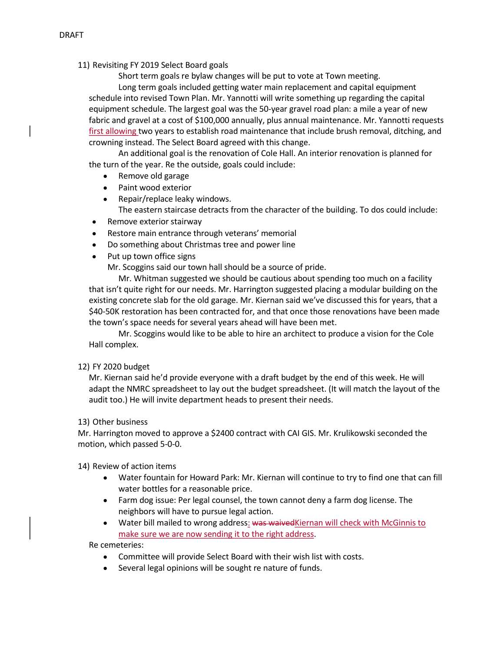11) Revisiting FY 2019 Select Board goals

Short term goals re bylaw changes will be put to vote at Town meeting.

Long term goals included getting water main replacement and capital equipment schedule into revised Town Plan. Mr. Yannotti will write something up regarding the capital equipment schedule. The largest goal was the 50-year gravel road plan: a mile a year of new fabric and gravel at a cost of \$100,000 annually, plus annual maintenance. Mr. Yannotti requests first allowing two years to establish road maintenance that include brush removal, ditching, and crowning instead. The Select Board agreed with this change.

An additional goal is the renovation of Cole Hall. An interior renovation is planned for the turn of the year. Re the outside, goals could include:

- Remove old garage
- Paint wood exterior
- Repair/replace leaky windows. The eastern staircase detracts from the character of the building. To dos could include:
- Remove exterior stairway
- Restore main entrance through veterans' memorial
- Do something about Christmas tree and power line
- Put up town office signs

Mr. Scoggins said our town hall should be a source of pride.

Mr. Whitman suggested we should be cautious about spending too much on a facility that isn't quite right for our needs. Mr. Harrington suggested placing a modular building on the existing concrete slab for the old garage. Mr. Kiernan said we've discussed this for years, that a \$40-50K restoration has been contracted for, and that once those renovations have been made the town's space needs for several years ahead will have been met.

Mr. Scoggins would like to be able to hire an architect to produce a vision for the Cole Hall complex.

# 12) FY 2020 budget

Mr. Kiernan said he'd provide everyone with a draft budget by the end of this week. He will adapt the NMRC spreadsheet to lay out the budget spreadsheet. (It will match the layout of the audit too.) He will invite department heads to present their needs.

# 13) Other business

Mr. Harrington moved to approve a \$2400 contract with CAI GIS. Mr. Krulikowski seconded the motion, which passed 5-0-0.

14) Review of action items

- Water fountain for Howard Park: Mr. Kiernan will continue to try to find one that can fill water bottles for a reasonable price.
- Farm dog issue: Per legal counsel, the town cannot deny a farm dog license. The neighbors will have to pursue legal action.
- Water bill mailed to wrong address: was waivedKiernan will check with McGinnis to make sure we are now sending it to the right address.

Re cemeteries:

- Committee will provide Select Board with their wish list with costs.
- Several legal opinions will be sought re nature of funds.